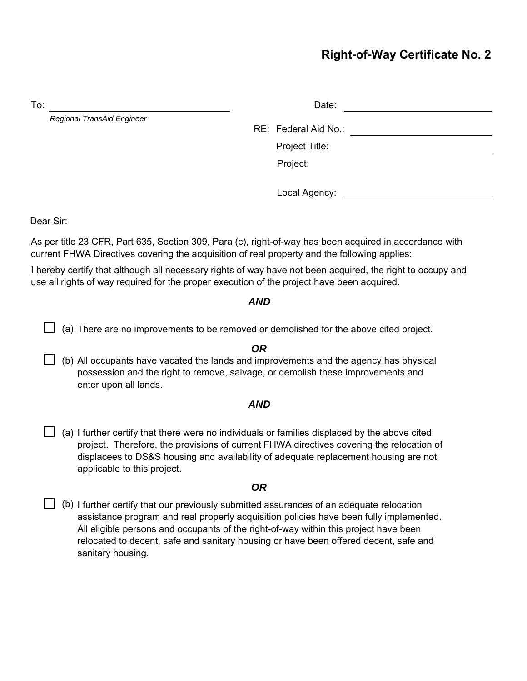# **Right-of-Way Certificate No. 2**

| To:                        | Date:                |  |
|----------------------------|----------------------|--|
| Regional TransAid Engineer | RE: Federal Aid No.: |  |
|                            | Project Title:       |  |
|                            | Project:             |  |
|                            | Local Agency:        |  |

Dear Sir:

As per title 23 CFR, Part 635, Section 309, Para (c), right-of-way has been acquired in accordance with current FHWA Directives covering the acquisition of real property and the following applies:

I hereby certify that although all necessary rights of way have not been acquired, the right to occupy and use all rights of way required for the proper execution of the project have been acquired.

### *AND*

 $\Box$  (a) There are no improvements to be removed or demolished for the above cited project.

#### *OR*

□ (b) All occupants have vacated the lands and improvements and the agency has physical<br>seconogion and the sight to remays as lings, as demoliab these improvements and possession and the right to remove, salvage, or demolish these improvements and enter upon all lands.

#### *AND*

□ (a) I further certify that there were no individuals or families displaced by the above cited<br>Fluxture assist the approximate the accuration of surrent FLUMA directives covering the relacation project. Therefore, the provisions of current FHWA directives covering the relocation of displacees to DS&S housing and availability of adequate replacement housing are not applicable to this project.

## *OR*

(b) I further certify that our previously submitted assurances of an adequate relocation<br>consistence are reason and real areas represents assurances based fully implement assistance program and real property acquisition policies have been fully implemented. All eligible persons and occupants of the right-of-way within this project have been relocated to decent, safe and sanitary housing or have been offered decent, safe and sanitary housing.